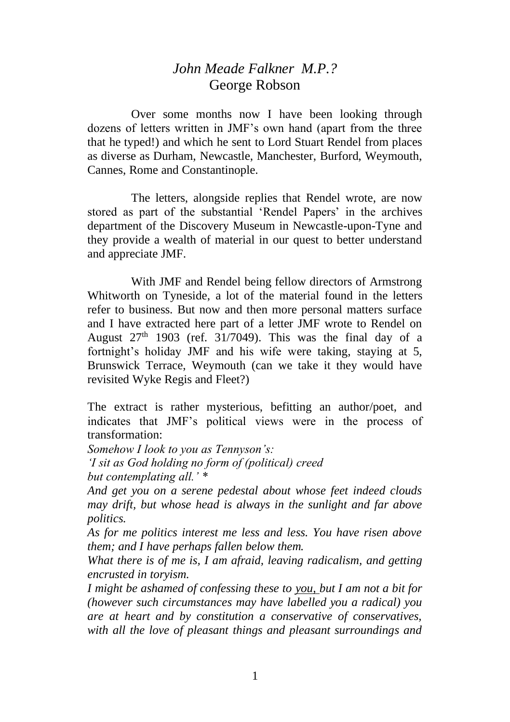## *John Meade Falkner M.P.?* George Robson

Over some months now I have been looking through dozens of letters written in JMF's own hand (apart from the three that he typed!) and which he sent to Lord Stuart Rendel from places as diverse as Durham, Newcastle, Manchester, Burford, Weymouth, Cannes, Rome and Constantinople.

The letters, alongside replies that Rendel wrote, are now stored as part of the substantial 'Rendel Papers' in the archives department of the Discovery Museum in Newcastle-upon-Tyne and they provide a wealth of material in our quest to better understand and appreciate JMF.

With JMF and Rendel being fellow directors of Armstrong Whitworth on Tyneside, a lot of the material found in the letters refer to business. But now and then more personal matters surface and I have extracted here part of a letter JMF wrote to Rendel on August  $27<sup>th</sup>$  1903 (ref. 31/7049). This was the final day of a fortnight's holiday JMF and his wife were taking, staying at 5, Brunswick Terrace, Weymouth (can we take it they would have revisited Wyke Regis and Fleet?)

The extract is rather mysterious, befitting an author/poet, and indicates that JMF's political views were in the process of transformation:

*Somehow I look to you as Tennyson's:*

*'I sit as God holding no form of (political) creed but contemplating all.' \**

*And get you on a serene pedestal about whose feet indeed clouds may drift, but whose head is always in the sunlight and far above politics.*

*As for me politics interest me less and less. You have risen above them; and I have perhaps fallen below them.*

*What there is of me is, I am afraid, leaving radicalism, and getting encrusted in toryism.*

*I might be ashamed of confessing these to you, but I am not a bit for (however such circumstances may have labelled you a radical) you are at heart and by constitution a conservative of conservatives, with all the love of pleasant things and pleasant surroundings and*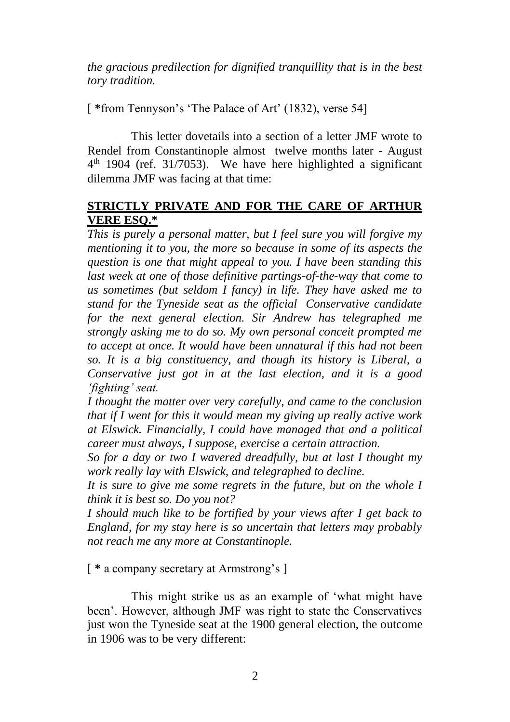*the gracious predilection for dignified tranquillity that is in the best tory tradition.*

[ **\***from Tennyson's 'The Palace of Art' (1832), verse 54]

This letter dovetails into a section of a letter JMF wrote to Rendel from Constantinople almost twelve months later - August 4 th 1904 (ref. 31/7053). We have here highlighted a significant dilemma JMF was facing at that time:

## **STRICTLY PRIVATE AND FOR THE CARE OF ARTHUR VERE ESQ.\***

*This is purely a personal matter, but I feel sure you will forgive my mentioning it to you, the more so because in some of its aspects the question is one that might appeal to you. I have been standing this last week at one of those definitive partings-of-the-way that come to us sometimes (but seldom I fancy) in life. They have asked me to stand for the Tyneside seat as the official Conservative candidate for the next general election. Sir Andrew has telegraphed me strongly asking me to do so. My own personal conceit prompted me to accept at once. It would have been unnatural if this had not been so. It is a big constituency, and though its history is Liberal, a Conservative just got in at the last election, and it is a good 'fighting' seat.*

*I thought the matter over very carefully, and came to the conclusion that if I went for this it would mean my giving up really active work at Elswick. Financially, I could have managed that and a political career must always, I suppose, exercise a certain attraction.*

*So for a day or two I wavered dreadfully, but at last I thought my work really lay with Elswick, and telegraphed to decline.*

*It is sure to give me some regrets in the future, but on the whole I think it is best so. Do you not?*

*I should much like to be fortified by your views after I get back to England, for my stay here is so uncertain that letters may probably not reach me any more at Constantinople.*

[ **\*** a company secretary at Armstrong's ]

This might strike us as an example of 'what might have been'. However, although JMF was right to state the Conservatives just won the Tyneside seat at the 1900 general election, the outcome in 1906 was to be very different: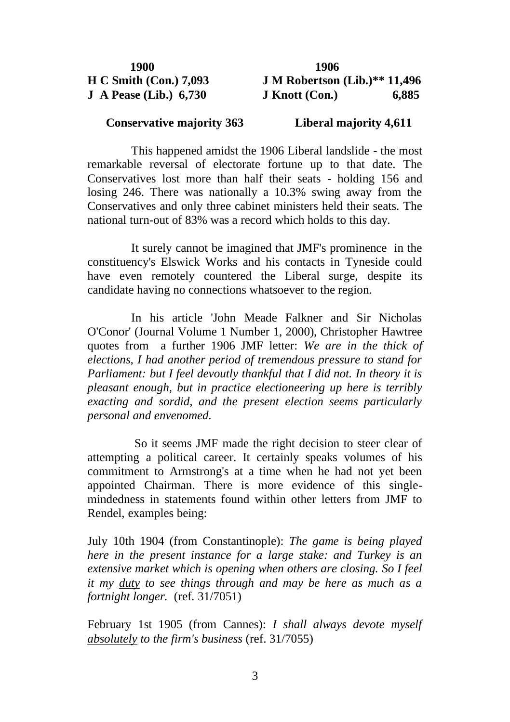| 1900                                | 1906                 |
|-------------------------------------|----------------------|
| H C S <sub>m</sub> ith (Con.) 7,093 | <b>J M Robertson</b> |
| $J$ A Pease (Lib.) 6,730            | J Knott (Con.)       |

**J M Robertson (Lib.)\*\* 11,496 J Knott (Con.)** 6,885

## **Conservative majority 363 Liberal majority 4,611**

This happened amidst the 1906 Liberal landslide - the most remarkable reversal of electorate fortune up to that date. The Conservatives lost more than half their seats - holding 156 and losing 246. There was nationally a 10.3% swing away from the Conservatives and only three cabinet ministers held their seats. The national turn-out of 83% was a record which holds to this day.

It surely cannot be imagined that JMF's prominence in the constituency's Elswick Works and his contacts in Tyneside could have even remotely countered the Liberal surge, despite its candidate having no connections whatsoever to the region.

In his article 'John Meade Falkner and Sir Nicholas O'Conor' (Journal Volume 1 Number 1, 2000), Christopher Hawtree quotes from a further 1906 JMF letter: *We are in the thick of elections, I had another period of tremendous pressure to stand for Parliament: but I feel devoutly thankful that I did not. In theory it is pleasant enough, but in practice electioneering up here is terribly exacting and sordid, and the present election seems particularly personal and envenomed.*

So it seems JMF made the right decision to steer clear of attempting a political career. It certainly speaks volumes of his commitment to Armstrong's at a time when he had not yet been appointed Chairman. There is more evidence of this singlemindedness in statements found within other letters from JMF to Rendel, examples being:

July 10th 1904 (from Constantinople): *The game is being played here in the present instance for a large stake: and Turkey is an extensive market which is opening when others are closing. So I feel it my duty to see things through and may be here as much as a fortnight longer.* (ref. 31/7051)

February 1st 1905 (from Cannes): *I shall always devote myself absolutely to the firm's business* (ref. 31/7055)